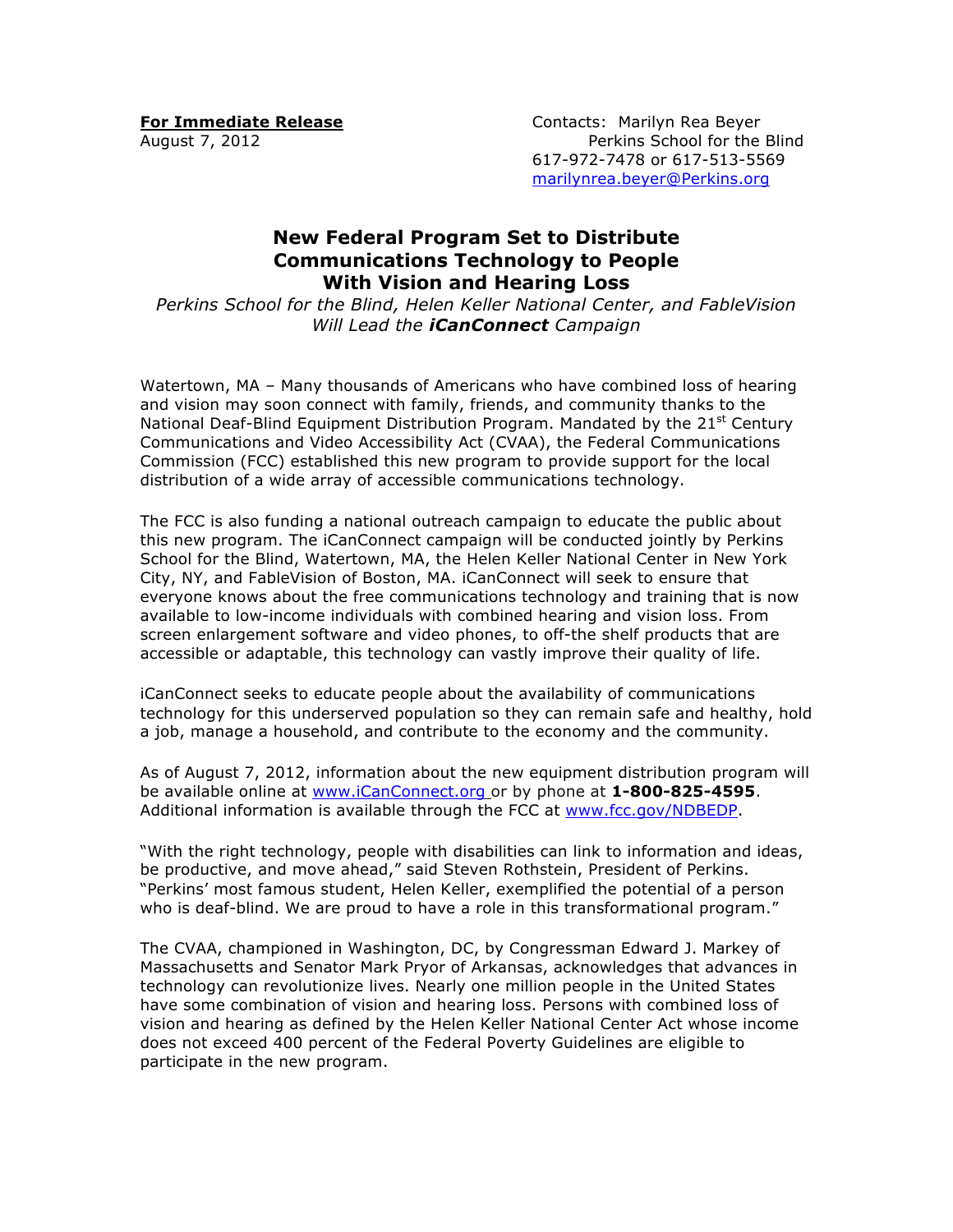**For Immediate Release Contacts: Marilyn Rea Beyer** August 7, 2012 **Perkins School for the Blind** 617-972-7478 or 617-513-5569 marilynrea.beyer@Perkins.org

## **New Federal Program Set to Distribute Communications Technology to People With Vision and Hearing Loss**

*Perkins School for the Blind, Helen Keller National Center, and FableVision Will Lead the iCanConnect Campaign*

Watertown, MA – Many thousands of Americans who have combined loss of hearing and vision may soon connect with family, friends, and community thanks to the National Deaf-Blind Equipment Distribution Program. Mandated by the 21<sup>st</sup> Century Communications and Video Accessibility Act (CVAA), the Federal Communications Commission (FCC) established this new program to provide support for the local distribution of a wide array of accessible communications technology.

The FCC is also funding a national outreach campaign to educate the public about this new program. The iCanConnect campaign will be conducted jointly by Perkins School for the Blind, Watertown, MA, the Helen Keller National Center in New York City, NY, and FableVision of Boston, MA. iCanConnect will seek to ensure that everyone knows about the free communications technology and training that is now available to low-income individuals with combined hearing and vision loss. From screen enlargement software and video phones, to off-the shelf products that are accessible or adaptable, this technology can vastly improve their quality of life.

iCanConnect seeks to educate people about the availability of communications technology for this underserved population so they can remain safe and healthy, hold a job, manage a household, and contribute to the economy and the community.

As of August 7, 2012, information about the new equipment distribution program will be available online at www.iCanConnect.org or by phone at **1-800-825-4595**. Additional information is available through the FCC at www.fcc.gov/NDBEDP.

"With the right technology, people with disabilities can link to information and ideas, be productive, and move ahead," said Steven Rothstein, President of Perkins. "Perkins' most famous student, Helen Keller, exemplified the potential of a person who is deaf-blind. We are proud to have a role in this transformational program."

The CVAA, championed in Washington, DC, by Congressman Edward J. Markey of Massachusetts and Senator Mark Pryor of Arkansas, acknowledges that advances in technology can revolutionize lives. Nearly one million people in the United States have some combination of vision and hearing loss. Persons with combined loss of vision and hearing as defined by the Helen Keller National Center Act whose income does not exceed 400 percent of the Federal Poverty Guidelines are eligible to participate in the new program.